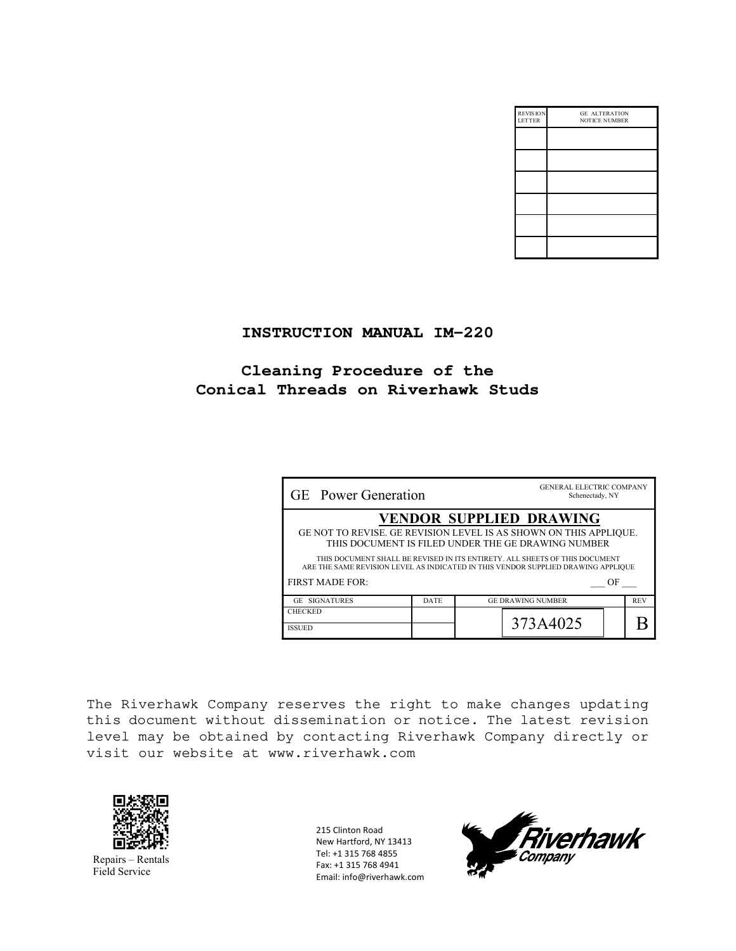| <b>REVISION</b><br><b>LETTER</b> | <b>GE ALTERATION</b><br><b>NOTICE NUMBER</b> |
|----------------------------------|----------------------------------------------|
|                                  |                                              |
|                                  |                                              |
|                                  |                                              |
|                                  |                                              |
|                                  |                                              |
|                                  |                                              |

## **INSTRUCTION MANUAL IM-220**

# **Cleaning Procedure of the Conical Threads on Riverhawk Studs**

| <b>GE</b> Power Generation                                                                                                                                       | <b>GENERAL ELECTRIC COMPANY</b><br>Schenectady, NY |                          |            |
|------------------------------------------------------------------------------------------------------------------------------------------------------------------|----------------------------------------------------|--------------------------|------------|
|                                                                                                                                                                  | <b>VENDOR SUPPLIED DRAWING</b>                     |                          |            |
| GE NOT TO REVISE. GE REVISION LEVEL IS AS SHOWN ON THIS APPLIQUE.<br>THIS DOCUMENT IS FILED UNDER THE GE DRAWING NUMBER                                          |                                                    |                          |            |
| THIS DOCUMENT SHALL BE REVISED IN ITS ENTIRETY. ALL SHEETS OF THIS DOCUMENT<br>ARE THE SAME REVISION LEVEL AS INDICATED IN THIS VENDOR SUPPLIED DRAWING APPLIQUE |                                                    |                          |            |
| <b>FIRST MADE FOR:</b><br>OF                                                                                                                                     |                                                    |                          |            |
| <b>GE SIGNATURES</b>                                                                                                                                             | <b>DATE</b>                                        | <b>GE DRAWING NUMBER</b> | <b>REV</b> |
| <b>CHECKED</b>                                                                                                                                                   |                                                    |                          |            |
| <b>ISSUED</b>                                                                                                                                                    |                                                    | 373A4025                 |            |

The Riverhawk Company reserves the right to make changes updating this document without dissemination or notice. The latest revision level may be obtained by contacting Riverhawk Company directly or visit our website at www.riverhawk.com



ELECTRIC:<br>Repairs – Rentals Field Service

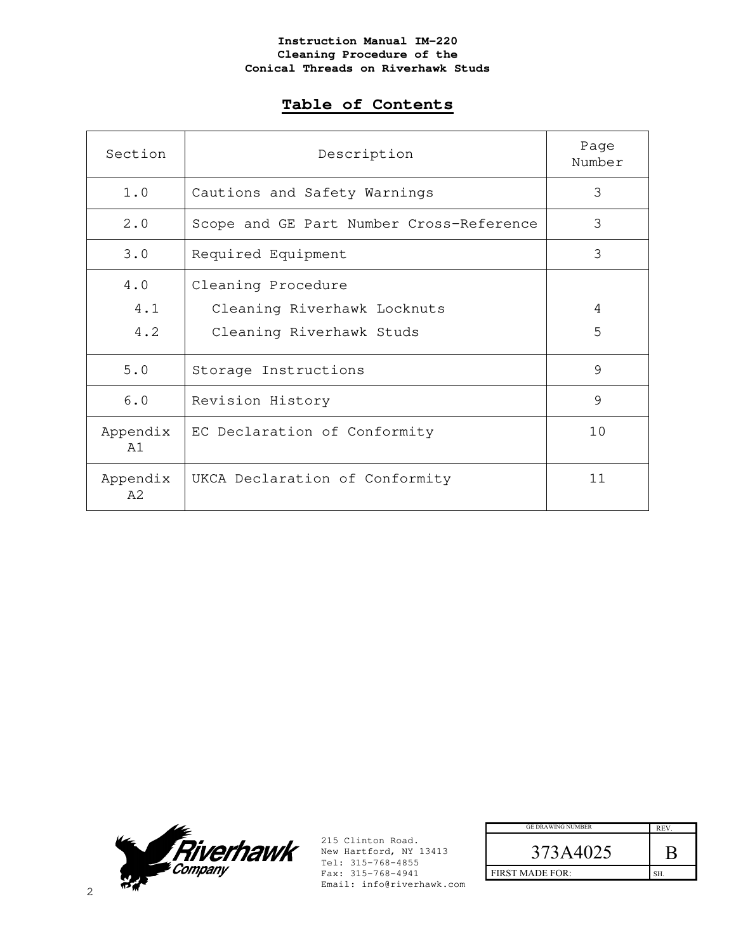# **Table of Contents**

| Section                     | Description                              | Page<br>Number |
|-----------------------------|------------------------------------------|----------------|
| 1.0                         | Cautions and Safety Warnings             | 3              |
| 2.0                         | Scope and GE Part Number Cross-Reference | 3              |
| 3.0                         | Required Equipment                       | 3              |
| 4.0                         | Cleaning Procedure                       |                |
| 4.1                         | Cleaning Riverhawk Locknuts              | 4              |
| 4.2                         | Cleaning Riverhawk Studs                 | 5              |
| 5.0                         | Storage Instructions                     | 9              |
| 6.0                         | Revision History                         | 9              |
| Appendix<br>$\overline{A}1$ | EC Declaration of Conformity             | 10             |
| Appendix<br>A <sub>2</sub>  | UKCA Declaration of Conformity           | 11             |



| <b>GE DRAWING NUMBER</b> | <b>REV</b> |
|--------------------------|------------|
| 373A4025                 |            |
| <b>FIRST MADE FOR:</b>   | SH         |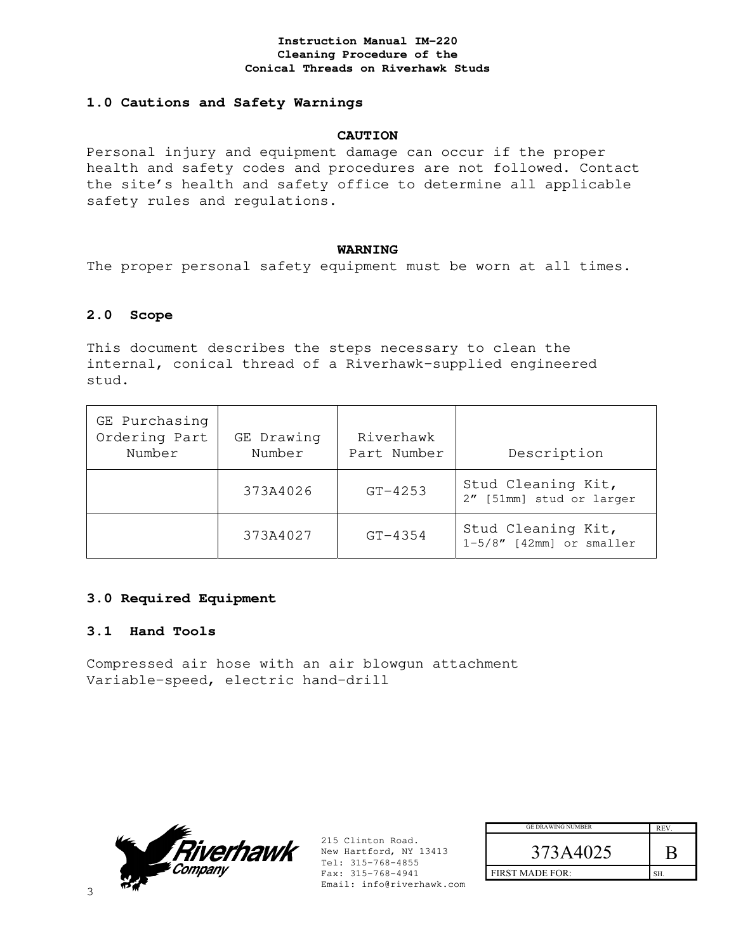## **1.0 Cautions and Safety Warnings**

## **CAUTION**

Personal injury and equipment damage can occur if the proper health and safety codes and procedures are not followed. Contact the site's health and safety office to determine all applicable safety rules and regulations.

#### **WARNING**

The proper personal safety equipment must be worn at all times.

## **2.0 Scope**

This document describes the steps necessary to clean the internal, conical thread of a Riverhawk-supplied engineered stud.

| GE Purchasing<br>Ordering Part<br>Number | GE Drawing<br>Number | Riverhawk<br>Part Number | Description                                       |
|------------------------------------------|----------------------|--------------------------|---------------------------------------------------|
|                                          | 373A4026             | $GT-4253$                | Stud Cleaning Kit,<br>2" [51mm] stud or larger    |
|                                          | 373A4027             | $GT - 4354$              | Stud Cleaning Kit,<br>$1-5/8''$ [42mm] or smaller |

## **3.0 Required Equipment**

## **3.1 Hand Tools**

Compressed air hose with an air blowgun attachment Variable-speed, electric hand-drill



| <b>GE DRAWING NUMBER</b> | <b>REV</b> |
|--------------------------|------------|
| 573A4025                 |            |
| <b>FIRST MADE FOR:</b>   | cц         |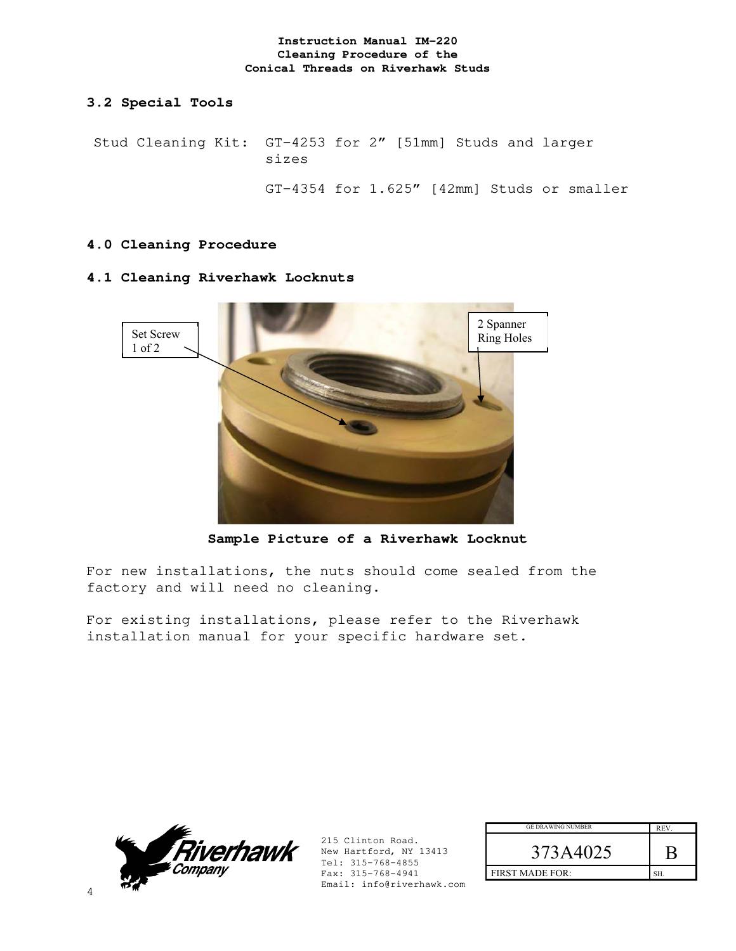## **3.2 Special Tools**

Stud Cleaning Kit: GT-4253 for 2" [51mm] Studs and larger sizes

GT-4354 for 1.625" [42mm] Studs or smaller

## **4.0 Cleaning Procedure**

## **4.1 Cleaning Riverhawk Locknuts**



**Sample Picture of a Riverhawk Locknut** 

For new installations, the nuts should come sealed from the factory and will need no cleaning.

For existing installations, please refer to the Riverhawk installation manual for your specific hardware set.



| <b>GE DRAWING NUMBER</b> | <b>REV</b> |
|--------------------------|------------|
| 373A4025                 |            |
| <b>FIRST MADE FOR:</b>   |            |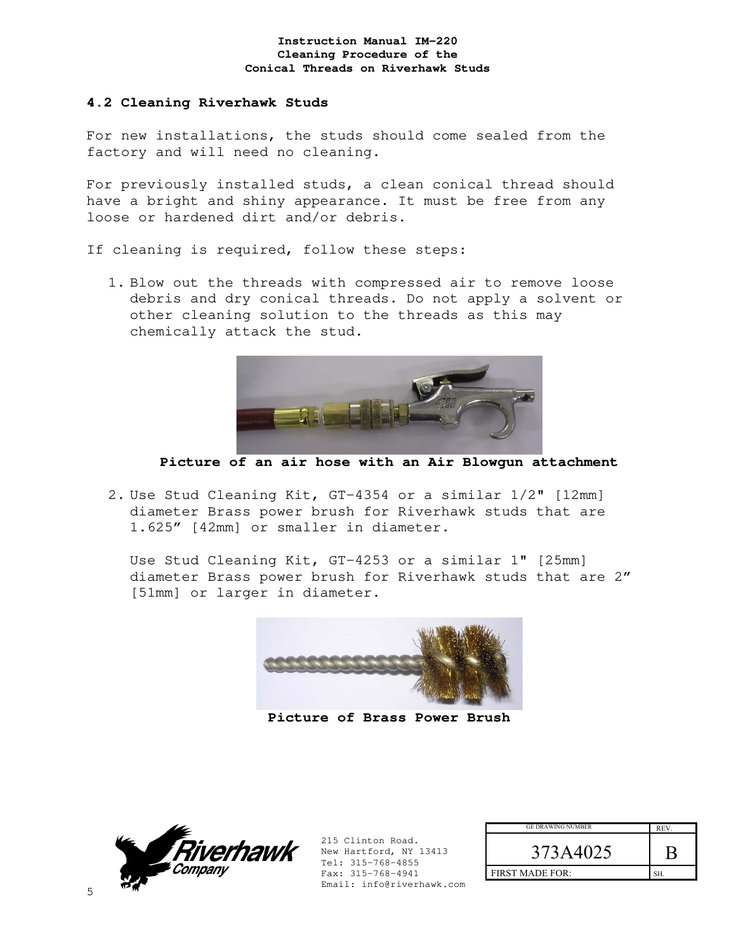## **4.2 Cleaning Riverhawk Studs**

For new installations, the studs should come sealed from the factory and will need no cleaning.

For previously installed studs, a clean conical thread should have a bright and shiny appearance. It must be free from any loose or hardened dirt and/or debris.

If cleaning is required, follow these steps:

1. Blow out the threads with compressed air to remove loose debris and dry conical threads. Do not apply a solvent or other cleaning solution to the threads as this may chemically attack the stud.



**Picture of an air hose with an Air Blowgun attachment** 

2. Use Stud Cleaning Kit, GT-4354 or a similar 1/2" [12mm] diameter Brass power brush for Riverhawk studs that are 1.625" [42mm] or smaller in diameter.

Use Stud Cleaning Kit, GT-4253 or a similar 1" [25mm] diameter Brass power brush for Riverhawk studs that are 2" [51mm] or larger in diameter.



**Picture of Brass Power Brush** 



| <b>GE DRAWING NUMBER</b> | <b>REV</b> |
|--------------------------|------------|
| 373A4025                 |            |
| <b>FIRST MADE FOR:</b>   |            |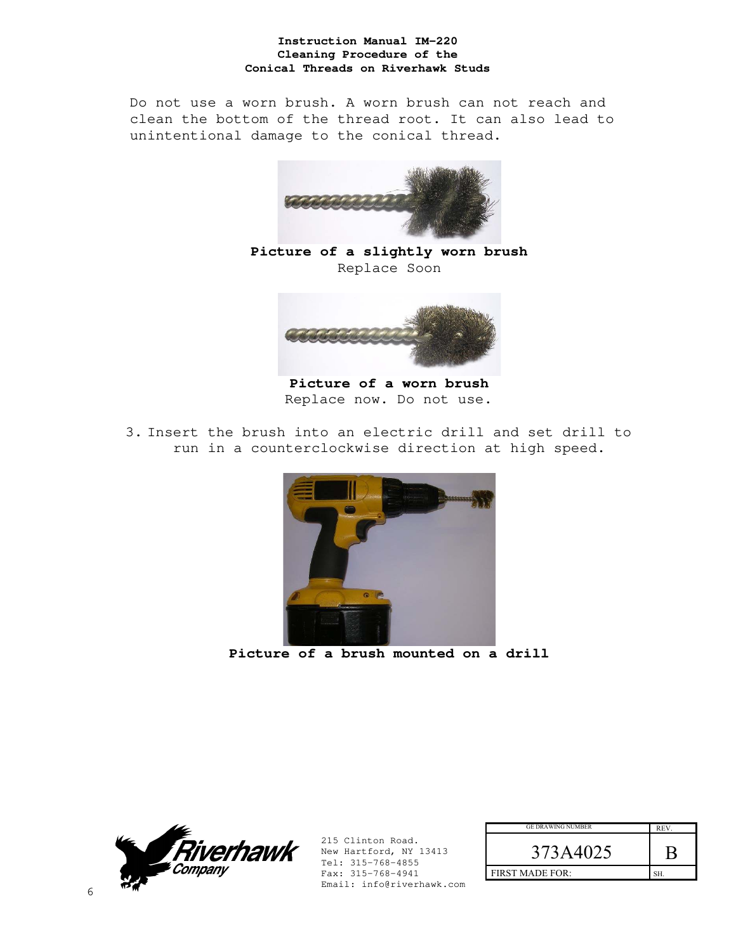Do not use a worn brush. A worn brush can not reach and clean the bottom of the thread root. It can also lead to unintentional damage to the conical thread.



**Picture of a slightly worn brush**  Replace Soon



**Picture of a worn brush**  Replace now. Do not use.

3. Insert the brush into an electric drill and set drill to run in a counterclockwise direction at high speed.



**Picture of a brush mounted on a drill** 



| <b>GE DRAWING NUMBER</b> | REV. |
|--------------------------|------|
| 373A4025                 |      |
| <b>FIRST MADE FOR:</b>   | ςн   |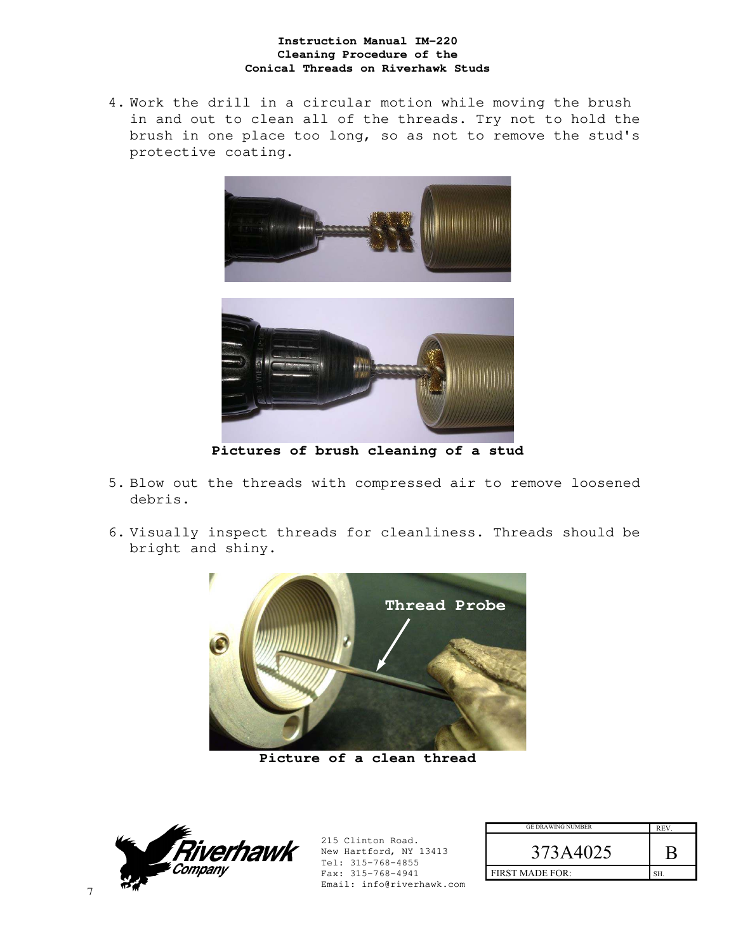4. Work the drill in a circular motion while moving the brush in and out to clean all of the threads. Try not to hold the brush in one place too long, so as not to remove the stud's protective coating.





**Pictures of brush cleaning of a stud** 

- 5. Blow out the threads with compressed air to remove loosened debris.
- 6. Visually inspect threads for cleanliness. Threads should be bright and shiny.



**Picture of a clean thread** 



| <b>GE DRAWING NUMBER</b> | <b>REV</b> |
|--------------------------|------------|
| 373A4025                 |            |
| <b>FIRST MADE FOR:</b>   |            |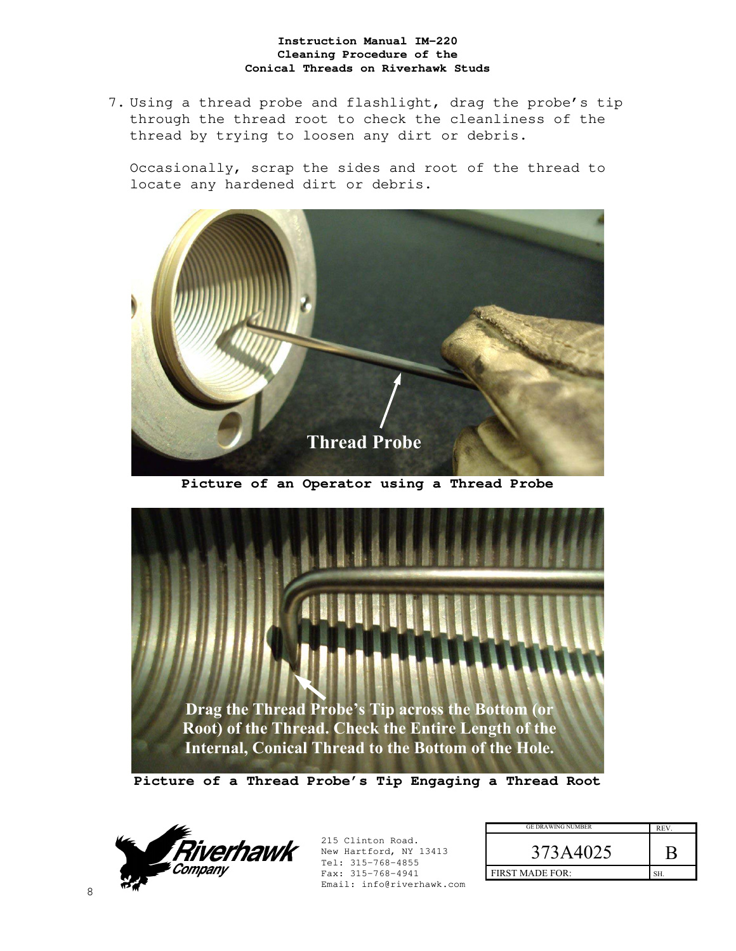7. Using a thread probe and flashlight, drag the probe's tip through the thread root to check the cleanliness of the thread by trying to loosen any dirt or debris.

Occasionally, scrap the sides and root of the thread to locate any hardened dirt or debris.



**Picture of an Operator using a Thread Probe** 



**Picture of a Thread Probe's Tip Engaging a Thread Root** 



| <b>GE DRAWING NUMBER</b> | REV. |
|--------------------------|------|
| 373A4025                 |      |
| <b>FIRST MADE FOR:</b>   | SH.  |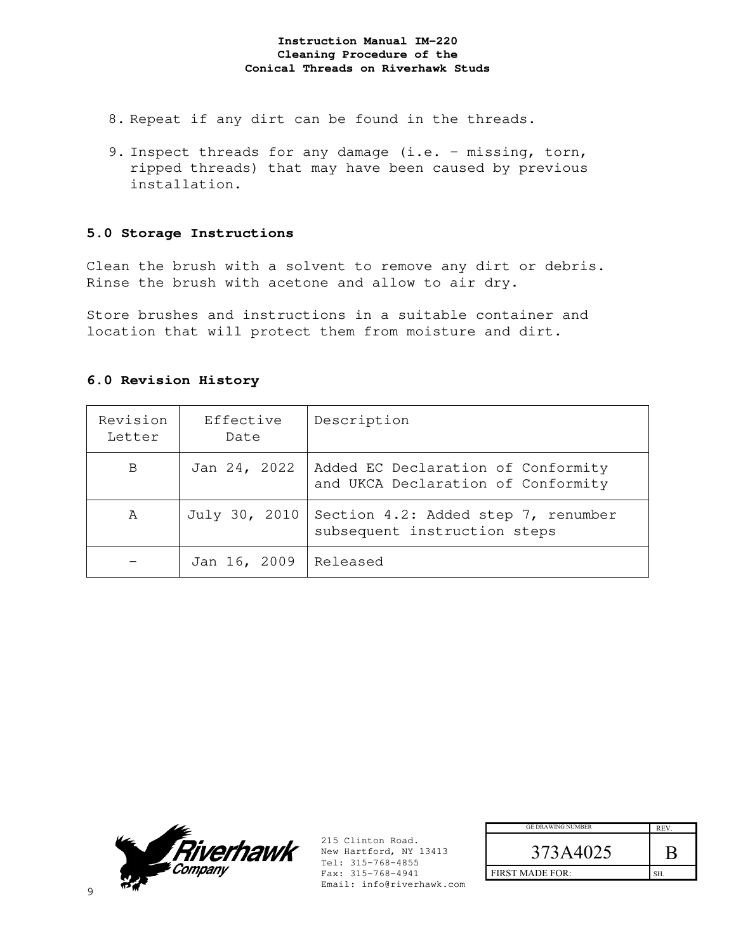- 8. Repeat if any dirt can be found in the threads.
- 9. Inspect threads for any damage (i.e. missing, torn, ripped threads) that may have been caused by previous installation.

## **5.0 Storage Instructions**

Clean the brush with a solvent to remove any dirt or debris. Rinse the brush with acetone and allow to air dry.

Store brushes and instructions in a suitable container and location that will protect them from moisture and dirt.

## **6.0 Revision History**

| Revision<br>Letter | Effective<br>Date | Description                                                              |
|--------------------|-------------------|--------------------------------------------------------------------------|
| B                  | Jan 24, 2022      | Added EC Declaration of Conformity<br>and UKCA Declaration of Conformity |
| A                  | July 30, 2010     | Section 4.2: Added step 7, renumber<br>subsequent instruction steps      |
|                    | Jan 16, 2009      | Released                                                                 |



| <b>GE DRAWING NUMBER</b> | <b>REV</b> |
|--------------------------|------------|
| 373A4025                 |            |
| <b>FIRST MADE FOR:</b>   | SH.        |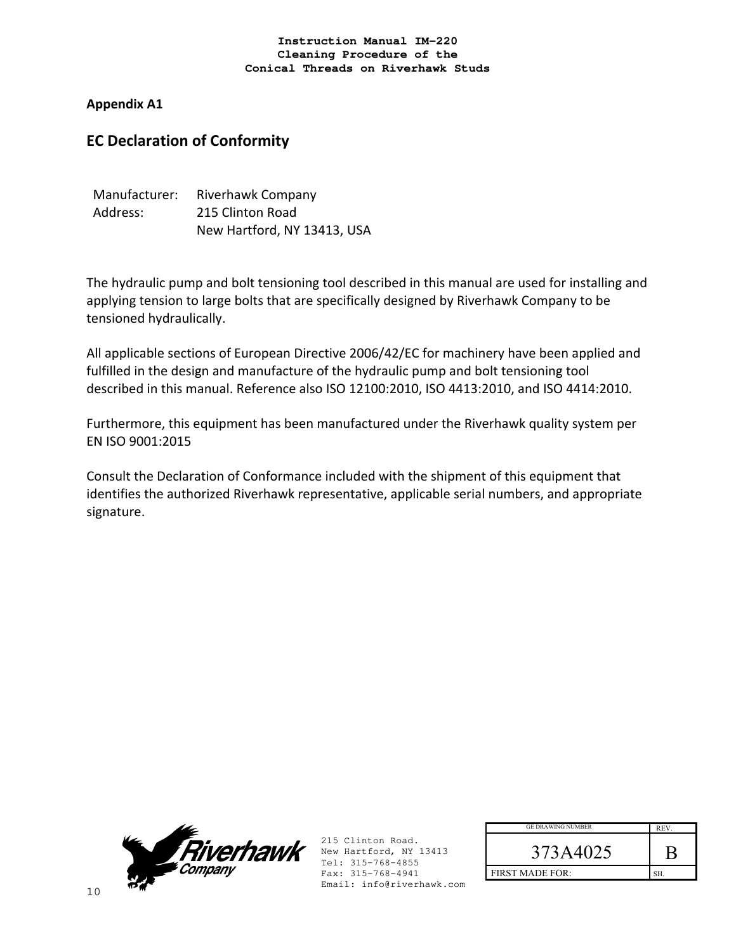**Appendix A1** 

# **EC Declaration of Conformity**

| Manufacturer: | Riverhawk Company           |
|---------------|-----------------------------|
| Address:      | 215 Clinton Road            |
|               | New Hartford, NY 13413, USA |

The hydraulic pump and bolt tensioning tool described in this manual are used for installing and applying tension to large bolts that are specifically designed by Riverhawk Company to be tensioned hydraulically.

All applicable sections of European Directive 2006/42/EC for machinery have been applied and fulfilled in the design and manufacture of the hydraulic pump and bolt tensioning tool described in this manual. Reference also ISO 12100:2010, ISO 4413:2010, and ISO 4414:2010.

Furthermore, this equipment has been manufactured under the Riverhawk quality system per EN ISO 9001:2015

Consult the Declaration of Conformance included with the shipment of this equipment that identifies the authorized Riverhawk representative, applicable serial numbers, and appropriate signature.



| <b>GE DRAWING NUMBER</b> | <b>REV</b> |
|--------------------------|------------|
| 373A4025                 |            |
| <b>FIRST MADE FOR:</b>   |            |